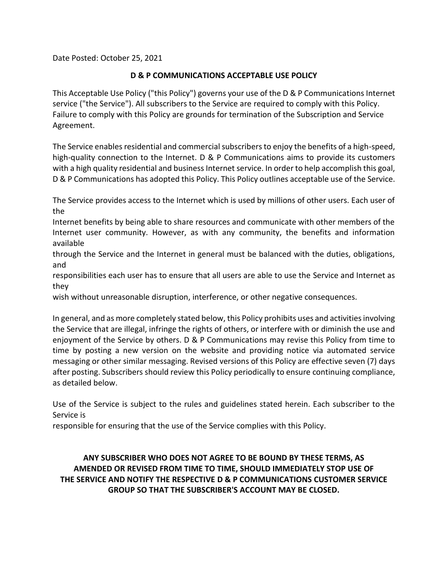Date Posted: October 25, 2021

#### **D & P COMMUNICATIONS ACCEPTABLE USE POLICY**

This Acceptable Use Policy ("this Policy") governs your use of the D & P Communications Internet service ("the Service"). All subscribers to the Service are required to comply with this Policy. Failure to comply with this Policy are grounds for termination of the Subscription and Service Agreement.

The Service enables residential and commercial subscribers to enjoy the benefits of a high-speed, high-quality connection to the Internet. D & P Communications aims to provide its customers with a high quality residential and business Internet service. In order to help accomplish this goal, D & P Communications has adopted this Policy. This Policy outlines acceptable use of the Service.

The Service provides access to the Internet which is used by millions of other users. Each user of the

Internet benefits by being able to share resources and communicate with other members of the Internet user community. However, as with any community, the benefits and information available

through the Service and the Internet in general must be balanced with the duties, obligations, and

responsibilities each user has to ensure that all users are able to use the Service and Internet as they

wish without unreasonable disruption, interference, or other negative consequences.

In general, and as more completely stated below, this Policy prohibits uses and activities involving the Service that are illegal, infringe the rights of others, or interfere with or diminish the use and enjoyment of the Service by others. D & P Communications may revise this Policy from time to time by posting a new version on the website and providing notice via automated service messaging or other similar messaging. Revised versions of this Policy are effective seven (7) days after posting. Subscribers should review this Policy periodically to ensure continuing compliance, as detailed below.

Use of the Service is subject to the rules and guidelines stated herein. Each subscriber to the Service is

responsible for ensuring that the use of the Service complies with this Policy.

### **ANY SUBSCRIBER WHO DOES NOT AGREE TO BE BOUND BY THESE TERMS, AS AMENDED OR REVISED FROM TIME TO TIME, SHOULD IMMEDIATELY STOP USE OF THE SERVICE AND NOTIFY THE RESPECTIVE D & P COMMUNICATIONS CUSTOMER SERVICE GROUP SO THAT THE SUBSCRIBER'S ACCOUNT MAY BE CLOSED.**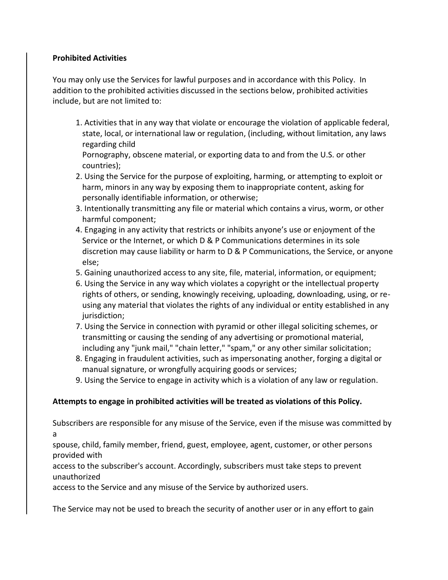### **Prohibited Activities**

You may only use the Services for lawful purposes and in accordance with this Policy. In addition to the prohibited activities discussed in the sections below, prohibited activities include, but are not limited to:

1. Activities that in any way that violate or encourage the violation of applicable federal, state, local, or international law or regulation, (including, without limitation, any laws regarding child

Pornography, obscene material, or exporting data to and from the U.S. or other countries);

- 2. Using the Service for the purpose of exploiting, harming, or attempting to exploit or harm, minors in any way by exposing them to inappropriate content, asking for personally identifiable information, or otherwise;
- 3. Intentionally transmitting any file or material which contains a virus, worm, or other harmful component;
- 4. Engaging in any activity that restricts or inhibits anyone's use or enjoyment of the Service or the Internet, or which D & P Communications determines in its sole discretion may cause liability or harm to D & P Communications, the Service, or anyone else;
- 5. Gaining unauthorized access to any site, file, material, information, or equipment;
- 6. Using the Service in any way which violates a copyright or the intellectual property rights of others, or sending, knowingly receiving, uploading, downloading, using, or reusing any material that violates the rights of any individual or entity established in any jurisdiction;
- 7. Using the Service in connection with pyramid or other illegal soliciting schemes, or transmitting or causing the sending of any advertising or promotional material, including any "junk mail," "chain letter," "spam," or any other similar solicitation;
- 8. Engaging in fraudulent activities, such as impersonating another, forging a digital or manual signature, or wrongfully acquiring goods or services;
- 9. Using the Service to engage in activity which is a violation of any law or regulation.

### **Attempts to engage in prohibited activities will be treated as violations of this Policy.**

Subscribers are responsible for any misuse of the Service, even if the misuse was committed by a

spouse, child, family member, friend, guest, employee, agent, customer, or other persons provided with

access to the subscriber's account. Accordingly, subscribers must take steps to prevent unauthorized

access to the Service and any misuse of the Service by authorized users.

The Service may not be used to breach the security of another user or in any effort to gain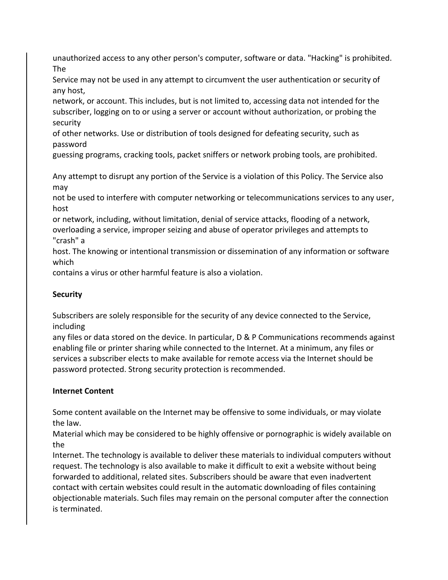unauthorized access to any other person's computer, software or data. "Hacking" is prohibited. The

Service may not be used in any attempt to circumvent the user authentication or security of any host,

network, or account. This includes, but is not limited to, accessing data not intended for the subscriber, logging on to or using a server or account without authorization, or probing the security

of other networks. Use or distribution of tools designed for defeating security, such as password

guessing programs, cracking tools, packet sniffers or network probing tools, are prohibited.

Any attempt to disrupt any portion of the Service is a violation of this Policy. The Service also may

not be used to interfere with computer networking or telecommunications services to any user, host

or network, including, without limitation, denial of service attacks, flooding of a network, overloading a service, improper seizing and abuse of operator privileges and attempts to "crash" a

host. The knowing or intentional transmission or dissemination of any information or software which

contains a virus or other harmful feature is also a violation.

# **Security**

Subscribers are solely responsible for the security of any device connected to the Service, including

any files or data stored on the device. In particular, D & P Communications recommends against enabling file or printer sharing while connected to the Internet. At a minimum, any files or services a subscriber elects to make available for remote access via the Internet should be password protected. Strong security protection is recommended.

## **Internet Content**

Some content available on the Internet may be offensive to some individuals, or may violate the law.

Material which may be considered to be highly offensive or pornographic is widely available on the

Internet. The technology is available to deliver these materials to individual computers without request. The technology is also available to make it difficult to exit a website without being forwarded to additional, related sites. Subscribers should be aware that even inadvertent contact with certain websites could result in the automatic downloading of files containing objectionable materials. Such files may remain on the personal computer after the connection is terminated.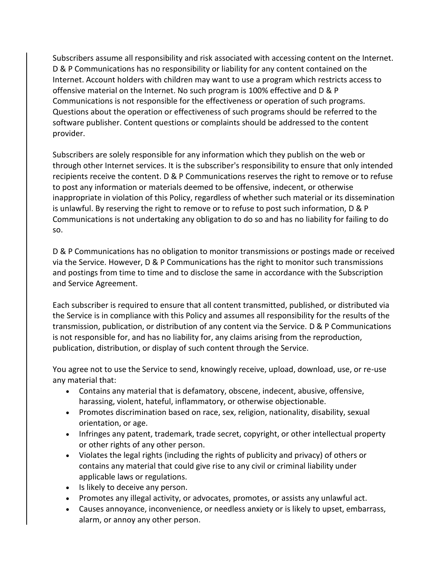Subscribers assume all responsibility and risk associated with accessing content on the Internet. D & P Communications has no responsibility or liability for any content contained on the Internet. Account holders with children may want to use a program which restricts access to offensive material on the Internet. No such program is 100% effective and D & P Communications is not responsible for the effectiveness or operation of such programs. Questions about the operation or effectiveness of such programs should be referred to the software publisher. Content questions or complaints should be addressed to the content provider.

Subscribers are solely responsible for any information which they publish on the web or through other Internet services. It is the subscriber's responsibility to ensure that only intended recipients receive the content. D & P Communications reserves the right to remove or to refuse to post any information or materials deemed to be offensive, indecent, or otherwise inappropriate in violation of this Policy, regardless of whether such material or its dissemination is unlawful. By reserving the right to remove or to refuse to post such information, D & P Communications is not undertaking any obligation to do so and has no liability for failing to do so.

D & P Communications has no obligation to monitor transmissions or postings made or received via the Service. However, D & P Communications has the right to monitor such transmissions and postings from time to time and to disclose the same in accordance with the Subscription and Service Agreement.

Each subscriber is required to ensure that all content transmitted, published, or distributed via the Service is in compliance with this Policy and assumes all responsibility for the results of the transmission, publication, or distribution of any content via the Service. D & P Communications is not responsible for, and has no liability for, any claims arising from the reproduction, publication, distribution, or display of such content through the Service.

You agree not to use the Service to send, knowingly receive, upload, download, use, or re-use any material that:

- Contains any material that is defamatory, obscene, indecent, abusive, offensive, harassing, violent, hateful, inflammatory, or otherwise objectionable.
- Promotes discrimination based on race, sex, religion, nationality, disability, sexual orientation, or age.
- Infringes any patent, trademark, trade secret, copyright, or other intellectual property or other rights of any other person.
- Violates the legal rights (including the rights of publicity and privacy) of others or contains any material that could give rise to any civil or criminal liability under applicable laws or regulations.
- Is likely to deceive any person.
- Promotes any illegal activity, or advocates, promotes, or assists any unlawful act.
- Causes annoyance, inconvenience, or needless anxiety or is likely to upset, embarrass, alarm, or annoy any other person.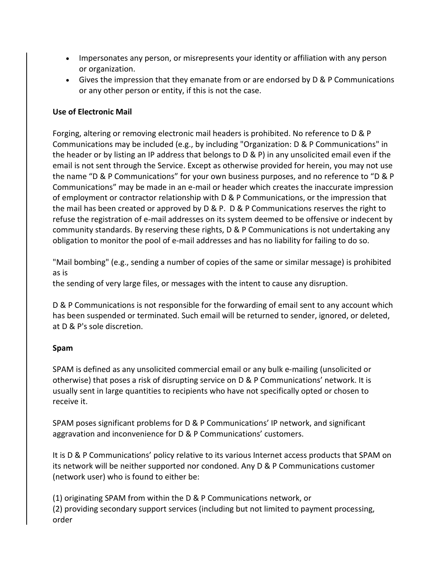- Impersonates any person, or misrepresents your identity or affiliation with any person or organization.
- Gives the impression that they emanate from or are endorsed by D & P Communications or any other person or entity, if this is not the case.

### **Use of Electronic Mail**

Forging, altering or removing electronic mail headers is prohibited. No reference to D & P Communications may be included (e.g., by including "Organization: D & P Communications" in the header or by listing an IP address that belongs to D & P) in any unsolicited email even if the email is not sent through the Service. Except as otherwise provided for herein, you may not use the name "D & P Communications" for your own business purposes, and no reference to "D & P Communications" may be made in an e-mail or header which creates the inaccurate impression of employment or contractor relationship with D & P Communications, or the impression that the mail has been created or approved by D & P. D & P Communications reserves the right to refuse the registration of e-mail addresses on its system deemed to be offensive or indecent by community standards. By reserving these rights, D & P Communications is not undertaking any obligation to monitor the pool of e-mail addresses and has no liability for failing to do so.

"Mail bombing" (e.g., sending a number of copies of the same or similar message) is prohibited as is

the sending of very large files, or messages with the intent to cause any disruption.

D & P Communications is not responsible for the forwarding of email sent to any account which has been suspended or terminated. Such email will be returned to sender, ignored, or deleted, at D & P's sole discretion.

#### **Spam**

SPAM is defined as any unsolicited commercial email or any bulk e-mailing (unsolicited or otherwise) that poses a risk of disrupting service on D & P Communications' network. It is usually sent in large quantities to recipients who have not specifically opted or chosen to receive it.

SPAM poses significant problems for D & P Communications' IP network, and significant aggravation and inconvenience for D & P Communications' customers.

It is D & P Communications' policy relative to its various Internet access products that SPAM on its network will be neither supported nor condoned. Any D & P Communications customer (network user) who is found to either be:

(1) originating SPAM from within the D & P Communications network, or (2) providing secondary support services (including but not limited to payment processing, order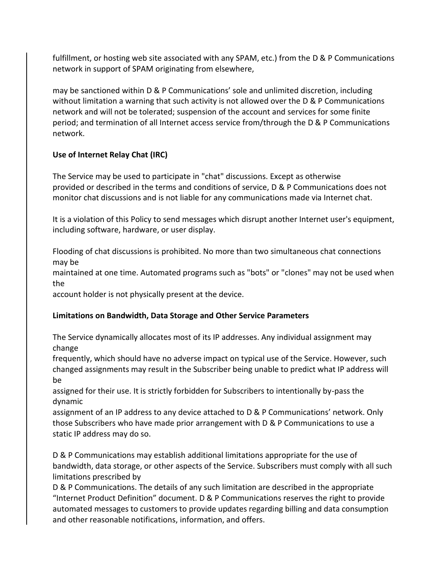fulfillment, or hosting web site associated with any SPAM, etc.) from the D & P Communications network in support of SPAM originating from elsewhere,

may be sanctioned within D & P Communications' sole and unlimited discretion, including without limitation a warning that such activity is not allowed over the D & P Communications network and will not be tolerated; suspension of the account and services for some finite period; and termination of all Internet access service from/through the D & P Communications network.

## **Use of Internet Relay Chat (IRC)**

The Service may be used to participate in "chat" discussions. Except as otherwise provided or described in the terms and conditions of service, D & P Communications does not monitor chat discussions and is not liable for any communications made via Internet chat.

It is a violation of this Policy to send messages which disrupt another Internet user's equipment, including software, hardware, or user display.

Flooding of chat discussions is prohibited. No more than two simultaneous chat connections may be

maintained at one time. Automated programs such as "bots" or "clones" may not be used when the

account holder is not physically present at the device.

## **Limitations on Bandwidth, Data Storage and Other Service Parameters**

The Service dynamically allocates most of its IP addresses. Any individual assignment may change

frequently, which should have no adverse impact on typical use of the Service. However, such changed assignments may result in the Subscriber being unable to predict what IP address will be

assigned for their use. It is strictly forbidden for Subscribers to intentionally by-pass the dynamic

assignment of an IP address to any device attached to D & P Communications' network. Only those Subscribers who have made prior arrangement with D & P Communications to use a static IP address may do so.

D & P Communications may establish additional limitations appropriate for the use of bandwidth, data storage, or other aspects of the Service. Subscribers must comply with all such limitations prescribed by

D & P Communications. The details of any such limitation are described in the appropriate "Internet Product Definition" document. D & P Communications reserves the right to provide automated messages to customers to provide updates regarding billing and data consumption and other reasonable notifications, information, and offers.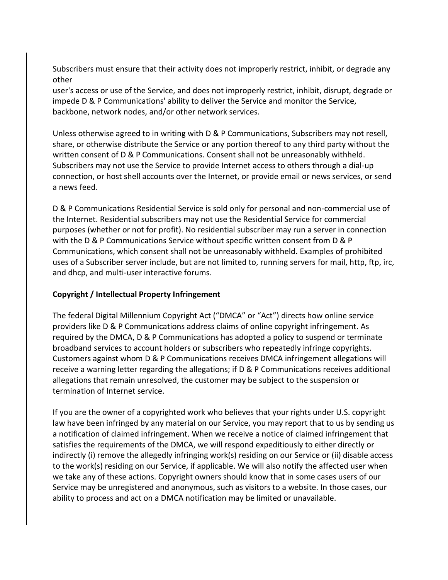Subscribers must ensure that their activity does not improperly restrict, inhibit, or degrade any other

user's access or use of the Service, and does not improperly restrict, inhibit, disrupt, degrade or impede D & P Communications' ability to deliver the Service and monitor the Service, backbone, network nodes, and/or other network services.

Unless otherwise agreed to in writing with D & P Communications, Subscribers may not resell, share, or otherwise distribute the Service or any portion thereof to any third party without the written consent of D & P Communications. Consent shall not be unreasonably withheld. Subscribers may not use the Service to provide Internet access to others through a dial-up connection, or host shell accounts over the Internet, or provide email or news services, or send a news feed.

D & P Communications Residential Service is sold only for personal and non-commercial use of the Internet. Residential subscribers may not use the Residential Service for commercial purposes (whether or not for profit). No residential subscriber may run a server in connection with the D & P Communications Service without specific written consent from D & P Communications, which consent shall not be unreasonably withheld. Examples of prohibited uses of a Subscriber server include, but are not limited to, running servers for mail, http, ftp, irc, and dhcp, and multi-user interactive forums.

### **Copyright / Intellectual Property Infringement**

The federal Digital Millennium Copyright Act ("DMCA" or "Act") directs how online service providers like D & P Communications address claims of online copyright infringement. As required by the DMCA, D & P Communications has adopted a policy to suspend or terminate broadband services to account holders or subscribers who repeatedly infringe copyrights. Customers against whom D & P Communications receives DMCA infringement allegations will receive a warning letter regarding the allegations; if D & P Communications receives additional allegations that remain unresolved, the customer may be subject to the suspension or termination of Internet service.

If you are the owner of a copyrighted work who believes that your rights under U.S. copyright law have been infringed by any material on our Service, you may report that to us by sending us a notification of claimed infringement. When we receive a notice of claimed infringement that satisfies the requirements of the DMCA, we will respond expeditiously to either directly or indirectly (i) remove the allegedly infringing work(s) residing on our Service or (ii) disable access to the work(s) residing on our Service, if applicable. We will also notify the affected user when we take any of these actions. Copyright owners should know that in some cases users of our Service may be unregistered and anonymous, such as visitors to a website. In those cases, our ability to process and act on a DMCA notification may be limited or unavailable.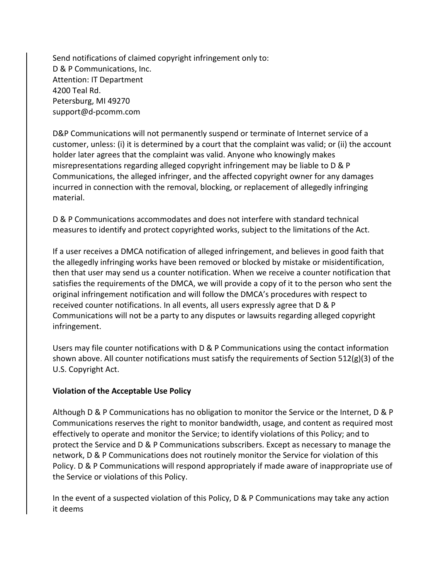Send notifications of claimed copyright infringement only to: D & P Communications, Inc. Attention: IT Department 4200 Teal Rd. Petersburg, MI 49270 support@d-pcomm.com

D&P Communications will not permanently suspend or terminate of Internet service of a customer, unless: (i) it is determined by a court that the complaint was valid; or (ii) the account holder later agrees that the complaint was valid. Anyone who knowingly makes misrepresentations regarding alleged copyright infringement may be liable to D & P Communications, the alleged infringer, and the affected copyright owner for any damages incurred in connection with the removal, blocking, or replacement of allegedly infringing material.

D & P Communications accommodates and does not interfere with standard technical measures to identify and protect copyrighted works, subject to the limitations of the Act.

If a user receives a DMCA notification of alleged infringement, and believes in good faith that the allegedly infringing works have been removed or blocked by mistake or misidentification, then that user may send us a counter notification. When we receive a counter notification that satisfies the requirements of the DMCA, we will provide a copy of it to the person who sent the original infringement notification and will follow the DMCA's procedures with respect to received counter notifications. In all events, all users expressly agree that D & P Communications will not be a party to any disputes or lawsuits regarding alleged copyright infringement.

Users may file counter notifications with D & P Communications using the contact information shown above. All counter notifications must satisfy the requirements of Section 512(g)(3) of the U.S. Copyright Act.

#### **Violation of the Acceptable Use Policy**

Although D & P Communications has no obligation to monitor the Service or the Internet, D & P Communications reserves the right to monitor bandwidth, usage, and content as required most effectively to operate and monitor the Service; to identify violations of this Policy; and to protect the Service and D & P Communications subscribers. Except as necessary to manage the network, D & P Communications does not routinely monitor the Service for violation of this Policy. D & P Communications will respond appropriately if made aware of inappropriate use of the Service or violations of this Policy.

In the event of a suspected violation of this Policy, D & P Communications may take any action it deems